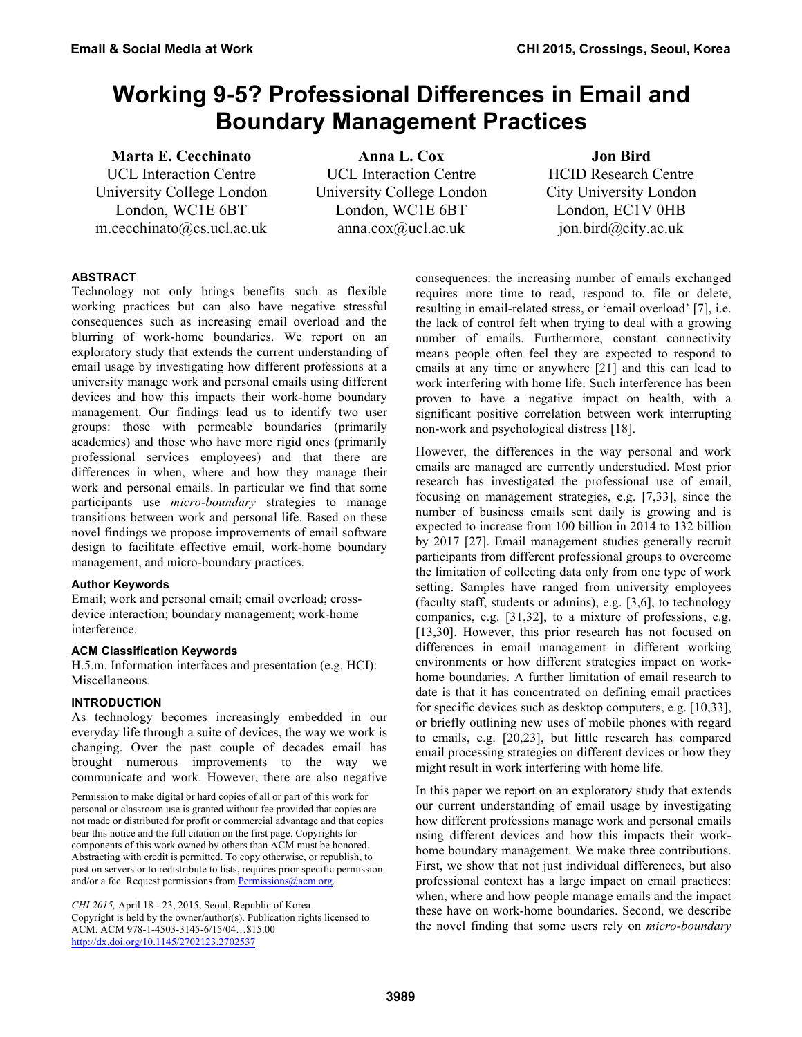# **Working 9-5? Professional Differences in Email and Boundary Management Practices**

**Marta E. Cecchinato** UCL Interaction Centre University College London London, WC1E 6BT m.cecchinato@cs.ucl.ac.uk

**Anna L. Cox** UCL Interaction Centre University College London London, WC1E 6BT anna.cox@ucl.ac.uk

# **Jon Bird**

HCID Research Centre City University London London, EC1V 0HB jon.bird@city.ac.uk

# **ABSTRACT**

Technology not only brings benefits such as flexible working practices but can also have negative stressful consequences such as increasing email overload and the blurring of work-home boundaries. We report on an exploratory study that extends the current understanding of email usage by investigating how different professions at a university manage work and personal emails using different devices and how this impacts their work-home boundary management. Our findings lead us to identify two user groups: those with permeable boundaries (primarily academics) and those who have more rigid ones (primarily professional services employees) and that there are differences in when, where and how they manage their work and personal emails. In particular we find that some participants use *micro-boundary* strategies to manage transitions between work and personal life. Based on these novel findings we propose improvements of email software design to facilitate effective email, work-home boundary management, and micro-boundary practices.

# **Author Keywords**

Email; work and personal email; email overload; crossdevice interaction; boundary management; work-home interference.

# **ACM Classification Keywords**

H.5.m. Information interfaces and presentation (e.g. HCI): Miscellaneous.

# **INTRODUCTION**

As technology becomes increasingly embedded in our everyday life through a suite of devices, the way we work is changing. Over the past couple of decades email has brought numerous improvements to the way we communicate and work. However, there are also negative

Permission to make digital or hard copies of all or part of this work for personal or classroom use is granted without fee provided that copies are not made or distributed for profit or commercial advantage and that copies bear this notice and the full citation on the first page. Copyrights for components of this work owned by others than ACM must be honored. Abstracting with credit is permitted. To copy otherwise, or republish, to post on servers or to redistribute to lists, requires prior specific permission and/or a fee. Request permissions from Permissions@acm.org.

*CHI 2015,* April 18 - 23, 2015, Seoul, Republic of Korea Copyright is held by the owner/author(s). Publication rights licensed to ACM. ACM 978-1-4503-3145-6/15/04…\$15.00 http://dx.doi.org/10.1145/2702123.2702537

consequences: the increasing number of emails exchanged requires more time to read, respond to, file or delete, resulting in email-related stress, or 'email overload' [7], i.e. the lack of control felt when trying to deal with a growing number of emails. Furthermore, constant connectivity means people often feel they are expected to respond to emails at any time or anywhere [21] and this can lead to work interfering with home life. Such interference has been proven to have a negative impact on health, with a significant positive correlation between work interrupting non-work and psychological distress [18].

However, the differences in the way personal and work emails are managed are currently understudied. Most prior research has investigated the professional use of email, focusing on management strategies, e.g. [7,33], since the number of business emails sent daily is growing and is expected to increase from 100 billion in 2014 to 132 billion by 2017 [27]. Email management studies generally recruit participants from different professional groups to overcome the limitation of collecting data only from one type of work setting. Samples have ranged from university employees (faculty staff, students or admins), e.g. [3,6], to technology companies, e.g. [31,32], to a mixture of professions, e.g. [13,30]. However, this prior research has not focused on differences in email management in different working environments or how different strategies impact on workhome boundaries. A further limitation of email research to date is that it has concentrated on defining email practices for specific devices such as desktop computers, e.g. [10,33], or briefly outlining new uses of mobile phones with regard to emails, e.g. [20,23], but little research has compared email processing strategies on different devices or how they might result in work interfering with home life.

In this paper we report on an exploratory study that extends our current understanding of email usage by investigating how different professions manage work and personal emails using different devices and how this impacts their workhome boundary management. We make three contributions. First, we show that not just individual differences, but also professional context has a large impact on email practices: when, where and how people manage emails and the impact these have on work-home boundaries. Second, we describe the novel finding that some users rely on *micro-boundary*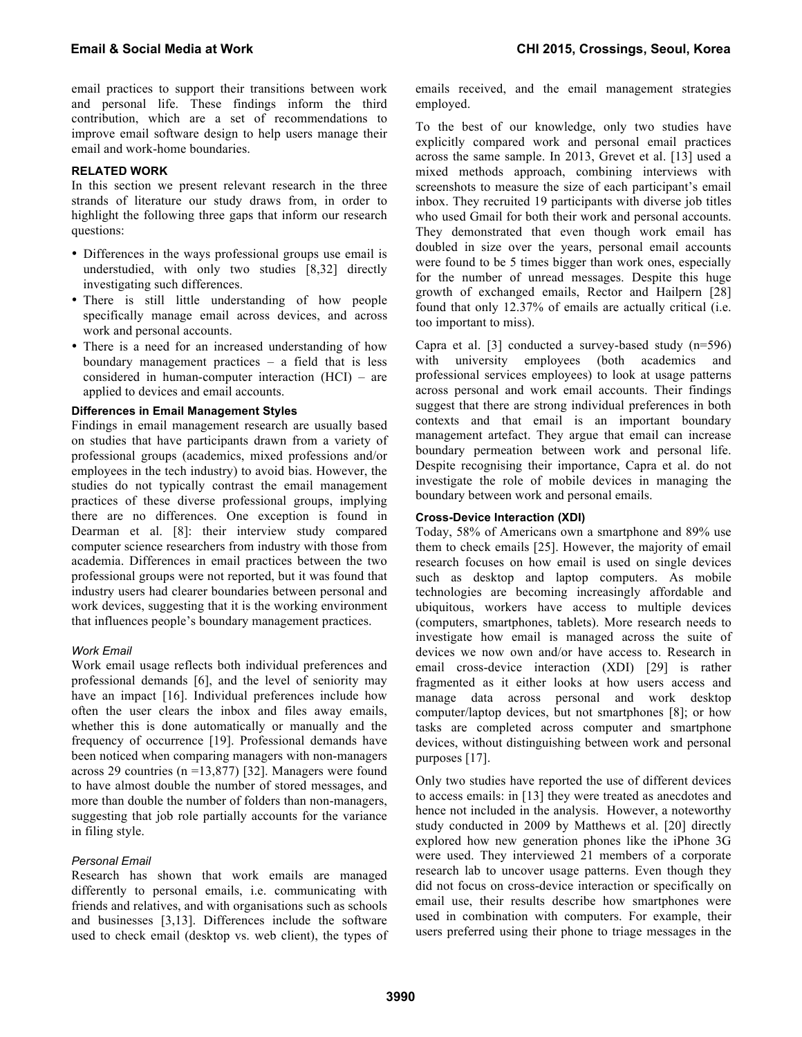email practices to support their transitions between work and personal life. These findings inform the third contribution, which are a set of recommendations to improve email software design to help users manage their email and work-home boundaries.

### **RELATED WORK**

In this section we present relevant research in the three strands of literature our study draws from, in order to highlight the following three gaps that inform our research questions:

- Differences in the ways professional groups use email is understudied, with only two studies [8,32] directly investigating such differences.
- There is still little understanding of how people specifically manage email across devices, and across work and personal accounts.
- There is a need for an increased understanding of how boundary management practices – a field that is less considered in human-computer interaction (HCI) – are applied to devices and email accounts.

### **Differences in Email Management Styles**

Findings in email management research are usually based on studies that have participants drawn from a variety of professional groups (academics, mixed professions and/or employees in the tech industry) to avoid bias. However, the studies do not typically contrast the email management practices of these diverse professional groups, implying there are no differences. One exception is found in Dearman et al. [8]: their interview study compared computer science researchers from industry with those from academia. Differences in email practices between the two professional groups were not reported, but it was found that industry users had clearer boundaries between personal and work devices, suggesting that it is the working environment that influences people's boundary management practices.

### *Work Email*

Work email usage reflects both individual preferences and professional demands [6], and the level of seniority may have an impact [16]. Individual preferences include how often the user clears the inbox and files away emails, whether this is done automatically or manually and the frequency of occurrence [19]. Professional demands have been noticed when comparing managers with non-managers across 29 countries (n =13,877) [32]. Managers were found to have almost double the number of stored messages, and more than double the number of folders than non-managers, suggesting that job role partially accounts for the variance in filing style.

### *Personal Email*

Research has shown that work emails are managed differently to personal emails, i.e. communicating with friends and relatives, and with organisations such as schools and businesses [3,13]. Differences include the software used to check email (desktop vs. web client), the types of emails received, and the email management strategies employed.

To the best of our knowledge, only two studies have explicitly compared work and personal email practices across the same sample. In 2013, Grevet et al. [13] used a mixed methods approach, combining interviews with screenshots to measure the size of each participant's email inbox. They recruited 19 participants with diverse job titles who used Gmail for both their work and personal accounts. They demonstrated that even though work email has doubled in size over the years, personal email accounts were found to be 5 times bigger than work ones, especially for the number of unread messages. Despite this huge growth of exchanged emails, Rector and Hailpern [28] found that only 12.37% of emails are actually critical (i.e. too important to miss).

Capra et al. [3] conducted a survey-based study (n=596) with university employees (both academics and professional services employees) to look at usage patterns across personal and work email accounts. Their findings suggest that there are strong individual preferences in both contexts and that email is an important boundary management artefact. They argue that email can increase boundary permeation between work and personal life. Despite recognising their importance, Capra et al. do not investigate the role of mobile devices in managing the boundary between work and personal emails.

### **Cross-Device Interaction (XDI)**

Today, 58% of Americans own a smartphone and 89% use them to check emails [25]. However, the majority of email research focuses on how email is used on single devices such as desktop and laptop computers. As mobile technologies are becoming increasingly affordable and ubiquitous, workers have access to multiple devices (computers, smartphones, tablets). More research needs to investigate how email is managed across the suite of devices we now own and/or have access to. Research in email cross-device interaction (XDI) [29] is rather fragmented as it either looks at how users access and manage data across personal and work desktop computer/laptop devices, but not smartphones [8]; or how tasks are completed across computer and smartphone devices, without distinguishing between work and personal purposes [17].

Only two studies have reported the use of different devices to access emails: in [13] they were treated as anecdotes and hence not included in the analysis. However, a noteworthy study conducted in 2009 by Matthews et al. [20] directly explored how new generation phones like the iPhone 3G were used. They interviewed 21 members of a corporate research lab to uncover usage patterns. Even though they did not focus on cross-device interaction or specifically on email use, their results describe how smartphones were used in combination with computers. For example, their users preferred using their phone to triage messages in the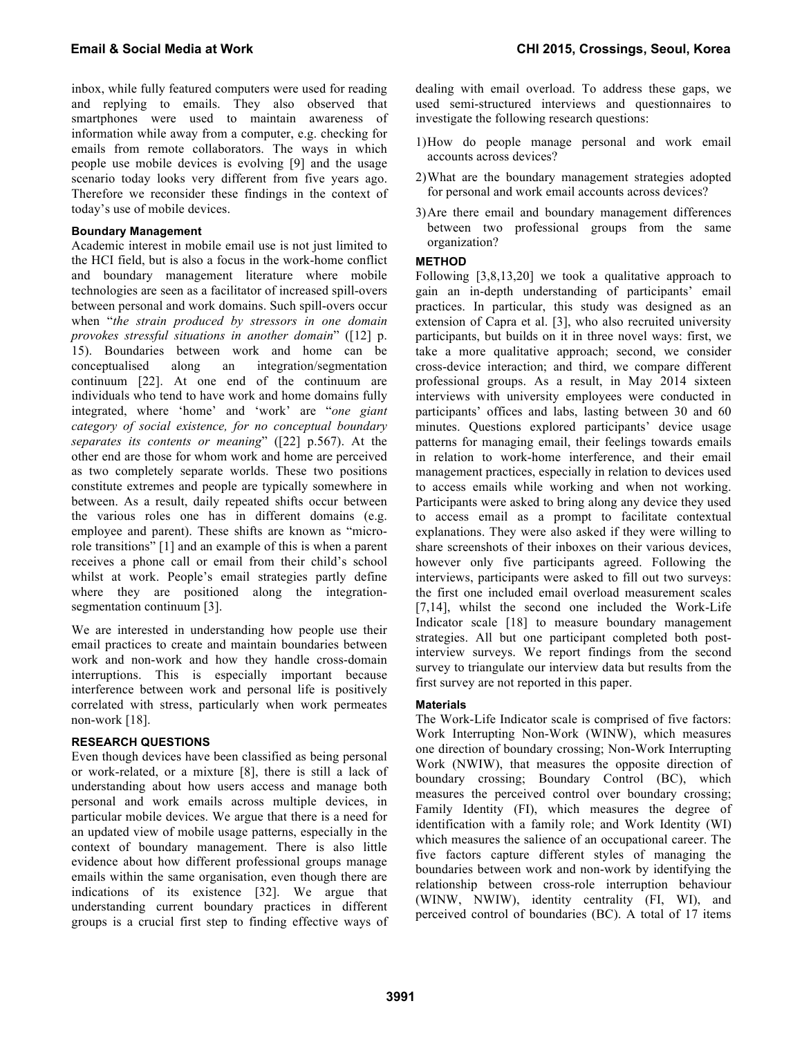inbox, while fully featured computers were used for reading and replying to emails. They also observed that smartphones were used to maintain awareness of information while away from a computer, e.g. checking for emails from remote collaborators. The ways in which people use mobile devices is evolving [9] and the usage scenario today looks very different from five years ago. Therefore we reconsider these findings in the context of today's use of mobile devices.

### **Boundary Management**

Academic interest in mobile email use is not just limited to the HCI field, but is also a focus in the work-home conflict and boundary management literature where mobile technologies are seen as a facilitator of increased spill-overs between personal and work domains. Such spill-overs occur when "*the strain produced by stressors in one domain provokes stressful situations in another domain*" ([12] p. 15). Boundaries between work and home can be conceptualised along an integration/segmentation continuum [22]. At one end of the continuum are individuals who tend to have work and home domains fully integrated, where 'home' and 'work' are "*one giant category of social existence, for no conceptual boundary separates its contents or meaning*" ([22] p.567). At the other end are those for whom work and home are perceived as two completely separate worlds. These two positions constitute extremes and people are typically somewhere in between. As a result, daily repeated shifts occur between the various roles one has in different domains (e.g. employee and parent). These shifts are known as "microrole transitions" [1] and an example of this is when a parent receives a phone call or email from their child's school whilst at work. People's email strategies partly define where they are positioned along the integrationsegmentation continuum [3].

We are interested in understanding how people use their email practices to create and maintain boundaries between work and non-work and how they handle cross-domain interruptions. This is especially important because interference between work and personal life is positively correlated with stress, particularly when work permeates non-work [18].

# **RESEARCH QUESTIONS**

Even though devices have been classified as being personal or work-related, or a mixture [8], there is still a lack of understanding about how users access and manage both personal and work emails across multiple devices, in particular mobile devices. We argue that there is a need for an updated view of mobile usage patterns, especially in the context of boundary management. There is also little evidence about how different professional groups manage emails within the same organisation, even though there are indications of its existence [32]. We argue that understanding current boundary practices in different groups is a crucial first step to finding effective ways of dealing with email overload. To address these gaps, we used semi-structured interviews and questionnaires to investigate the following research questions:

- 1)How do people manage personal and work email accounts across devices?
- 2)What are the boundary management strategies adopted for personal and work email accounts across devices?
- 3)Are there email and boundary management differences between two professional groups from the same organization?

### **METHOD**

Following [3,8,13,20] we took a qualitative approach to gain an in-depth understanding of participants' email practices. In particular, this study was designed as an extension of Capra et al. [3], who also recruited university participants, but builds on it in three novel ways: first, we take a more qualitative approach; second, we consider cross-device interaction; and third, we compare different professional groups. As a result, in May 2014 sixteen interviews with university employees were conducted in participants' offices and labs, lasting between 30 and 60 minutes. Questions explored participants' device usage patterns for managing email, their feelings towards emails in relation to work-home interference, and their email management practices, especially in relation to devices used to access emails while working and when not working. Participants were asked to bring along any device they used to access email as a prompt to facilitate contextual explanations. They were also asked if they were willing to share screenshots of their inboxes on their various devices, however only five participants agreed. Following the interviews, participants were asked to fill out two surveys: the first one included email overload measurement scales [7,14], whilst the second one included the Work-Life Indicator scale [18] to measure boundary management strategies. All but one participant completed both postinterview surveys. We report findings from the second survey to triangulate our interview data but results from the first survey are not reported in this paper.

# **Materials**

The Work-Life Indicator scale is comprised of five factors: Work Interrupting Non-Work (WINW), which measures one direction of boundary crossing; Non-Work Interrupting Work (NWIW), that measures the opposite direction of boundary crossing; Boundary Control (BC), which measures the perceived control over boundary crossing; Family Identity (FI), which measures the degree of identification with a family role; and Work Identity (WI) which measures the salience of an occupational career. The five factors capture different styles of managing the boundaries between work and non-work by identifying the relationship between cross-role interruption behaviour (WINW, NWIW), identity centrality (FI, WI), and perceived control of boundaries (BC). A total of 17 items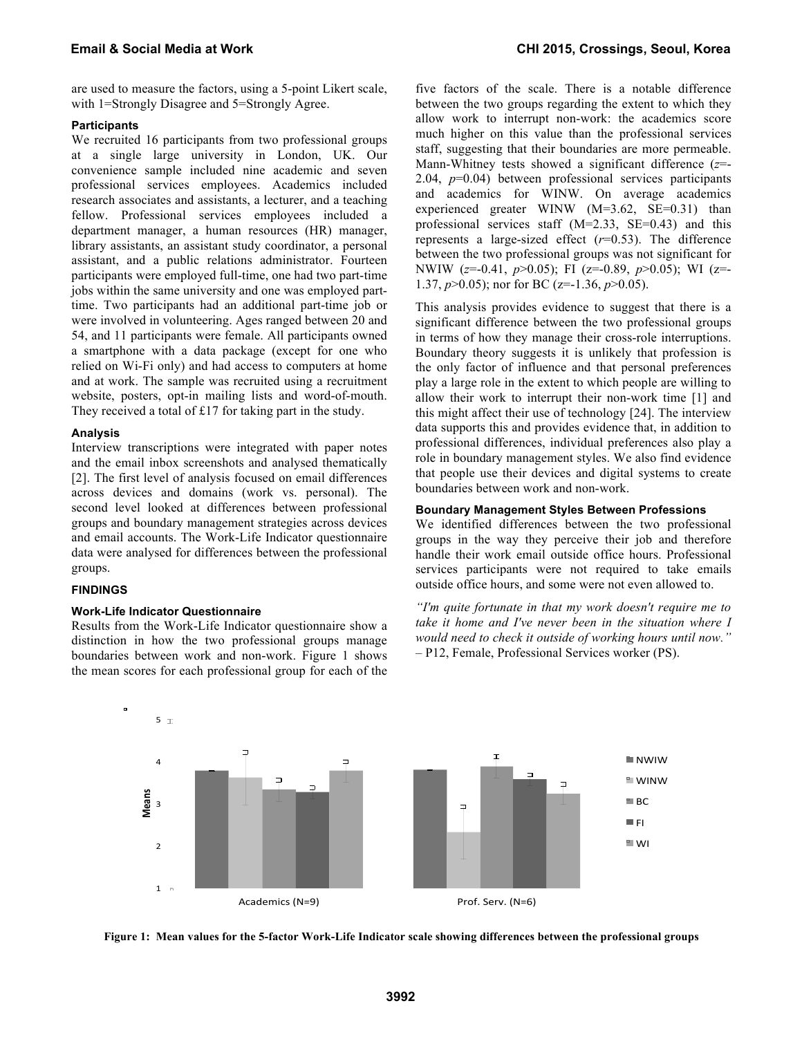are used to measure the factors, using a 5-point Likert scale, with 1=Strongly Disagree and 5=Strongly Agree.

### **Participants**

We recruited 16 participants from two professional groups at a single large university in London, UK. Our convenience sample included nine academic and seven professional services employees. Academics included research associates and assistants, a lecturer, and a teaching fellow. Professional services employees included a department manager, a human resources (HR) manager, library assistants, an assistant study coordinator, a personal assistant, and a public relations administrator. Fourteen participants were employed full-time, one had two part-time jobs within the same university and one was employed parttime. Two participants had an additional part-time job or were involved in volunteering. Ages ranged between 20 and 54, and 11 participants were female. All participants owned a smartphone with a data package (except for one who relied on Wi-Fi only) and had access to computers at home and at work. The sample was recruited using a recruitment website, posters, opt-in mailing lists and word-of-mouth. They received a total of £17 for taking part in the study.

### **Analysis**

Interview transcriptions were integrated with paper notes and the email inbox screenshots and analysed thematically [2]. The first level of analysis focused on email differences across devices and domains (work vs. personal). The second level looked at differences between professional groups and boundary management strategies across devices and email accounts. The Work-Life Indicator questionnaire data were analysed for differences between the professional groups.

### **FINDINGS**

### **Work-Life Indicator Questionnaire**

Results from the Work-Life Indicator questionnaire show a distinction in how the two professional groups manage boundaries between work and non-work. Figure 1 shows the mean scores for each professional group for each of the

five factors of the scale. There is a notable difference between the two groups regarding the extent to which they allow work to interrupt non-work: the academics score much higher on this value than the professional services staff, suggesting that their boundaries are more permeable. Mann-Whitney tests showed a significant difference (*z*=- 2.04, *p*=0.04) between professional services participants and academics for WINW. On average academics experienced greater WINW (M=3.62, SE=0.31) than professional services staff  $(M=2.33, SE=0.43)$  and this represents a large-sized effect (*r*=0.53). The difference between the two professional groups was not significant for NWIW (*z*=-0.41, *p*>0.05); FI (z=-0.89, *p*>0.05); WI (z=- 1.37, *p*>0.05); nor for BC (z=-1.36, *p*>0.05).

This analysis provides evidence to suggest that there is a significant difference between the two professional groups in terms of how they manage their cross-role interruptions. Boundary theory suggests it is unlikely that profession is the only factor of influence and that personal preferences play a large role in the extent to which people are willing to allow their work to interrupt their non-work time [1] and this might affect their use of technology [24]. The interview data supports this and provides evidence that, in addition to professional differences, individual preferences also play a role in boundary management styles. We also find evidence that people use their devices and digital systems to create boundaries between work and non-work.

### **Boundary Management Styles Between Professions**

We identified differences between the two professional groups in the way they perceive their job and therefore handle their work email outside office hours. Professional services participants were not required to take emails outside office hours, and some were not even allowed to.

*"I'm quite fortunate in that my work doesn't require me to take it home and I've never been in the situation where I would need to check it outside of working hours until now." –* P12, Female, Professional Services worker (PS).



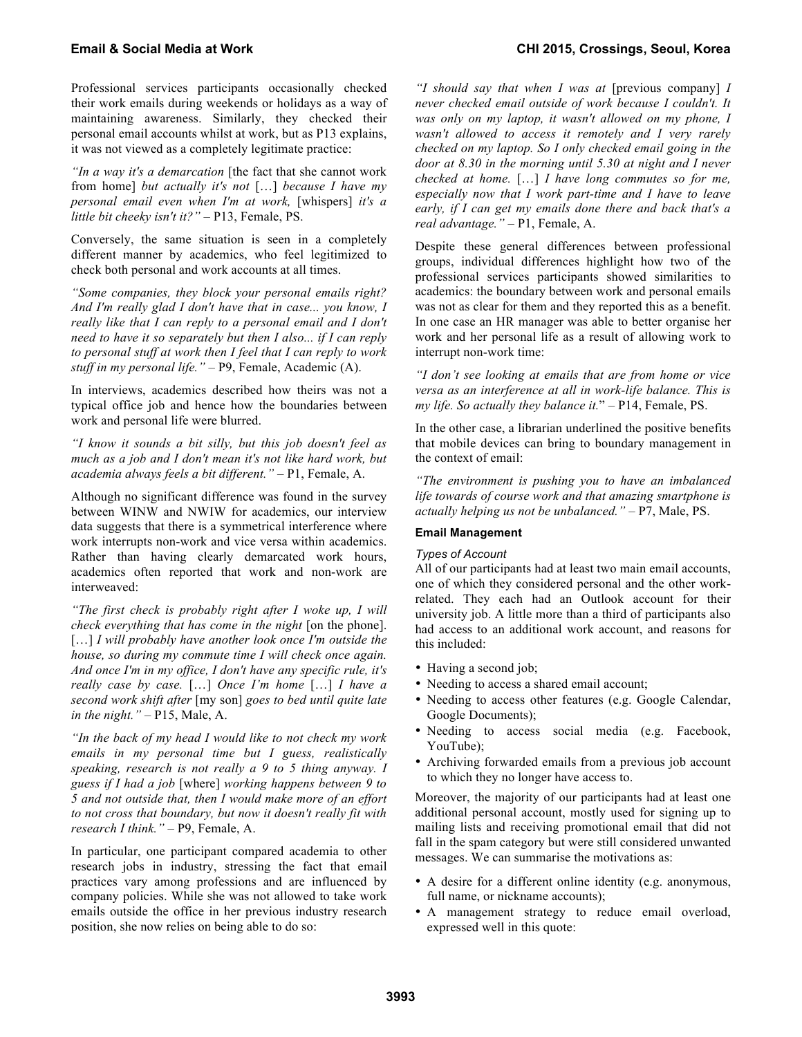Professional services participants occasionally checked their work emails during weekends or holidays as a way of maintaining awareness. Similarly, they checked their personal email accounts whilst at work, but as P13 explains, it was not viewed as a completely legitimate practice:

*"In a way it's a demarcation* [the fact that she cannot work from home] *but actually it's not* […] *because I have my personal email even when I'm at work,* [whispers] *it's a little bit cheeky isn't it?"* – P13, Female, PS.

Conversely, the same situation is seen in a completely different manner by academics, who feel legitimized to check both personal and work accounts at all times.

*"Some companies, they block your personal emails right? And I'm really glad I don't have that in case... you know, I really like that I can reply to a personal email and I don't need to have it so separately but then I also... if I can reply to personal stuff at work then I feel that I can reply to work stuff in my personal life."* – P9, Female, Academic (A).

In interviews, academics described how theirs was not a typical office job and hence how the boundaries between work and personal life were blurred.

*"I know it sounds a bit silly, but this job doesn't feel as much as a job and I don't mean it's not like hard work, but academia always feels a bit different."* – P1, Female, A.

Although no significant difference was found in the survey between WINW and NWIW for academics, our interview data suggests that there is a symmetrical interference where work interrupts non-work and vice versa within academics. Rather than having clearly demarcated work hours, academics often reported that work and non-work are interweaved:

*"The first check is probably right after I woke up, I will check everything that has come in the night* [on the phone]. [...] *I will probably have another look once I'm outside the house, so during my commute time I will check once again. And once I'm in my office, I don't have any specific rule, it's really case by case.* […] *Once I'm home* […] *I have a second work shift after* [my son] *goes to bed until quite late in the night."* – P15, Male, A.

*"In the back of my head I would like to not check my work emails in my personal time but I guess, realistically speaking, research is not really a 9 to 5 thing anyway. I guess if I had a job* [where] *working happens between 9 to 5 and not outside that, then I would make more of an effort to not cross that boundary, but now it doesn't really fit with research I think."* – P9, Female, A.

In particular, one participant compared academia to other research jobs in industry, stressing the fact that email practices vary among professions and are influenced by company policies. While she was not allowed to take work emails outside the office in her previous industry research position, she now relies on being able to do so:

*"I should say that when I was at* [previous company] *I never checked email outside of work because I couldn't. It was only on my laptop, it wasn't allowed on my phone, I wasn't allowed to access it remotely and I very rarely checked on my laptop. So I only checked email going in the door at 8.30 in the morning until 5.30 at night and I never checked at home.* […] *I have long commutes so for me, especially now that I work part-time and I have to leave early, if I can get my emails done there and back that's a real advantage."* – P1, Female, A.

Despite these general differences between professional groups, individual differences highlight how two of the professional services participants showed similarities to academics: the boundary between work and personal emails was not as clear for them and they reported this as a benefit. In one case an HR manager was able to better organise her work and her personal life as a result of allowing work to interrupt non-work time:

*"I don't see looking at emails that are from home or vice versa as an interference at all in work-life balance. This is my life. So actually they balance it.*" – P14, Female, PS.

In the other case, a librarian underlined the positive benefits that mobile devices can bring to boundary management in the context of email:

*"The environment is pushing you to have an imbalanced life towards of course work and that amazing smartphone is actually helping us not be unbalanced."* – P7, Male, PS.

# **Email Management**

### *Types of Account*

All of our participants had at least two main email accounts, one of which they considered personal and the other workrelated. They each had an Outlook account for their university job. A little more than a third of participants also had access to an additional work account, and reasons for this included:

- Having a second job;
- Needing to access a shared email account;
- Needing to access other features (e.g. Google Calendar, Google Documents);
- Needing to access social media (e.g. Facebook, YouTube);
- Archiving forwarded emails from a previous job account to which they no longer have access to.

Moreover, the majority of our participants had at least one additional personal account, mostly used for signing up to mailing lists and receiving promotional email that did not fall in the spam category but were still considered unwanted messages. We can summarise the motivations as:

- A desire for a different online identity (e.g. anonymous, full name, or nickname accounts);
- A management strategy to reduce email overload, expressed well in this quote: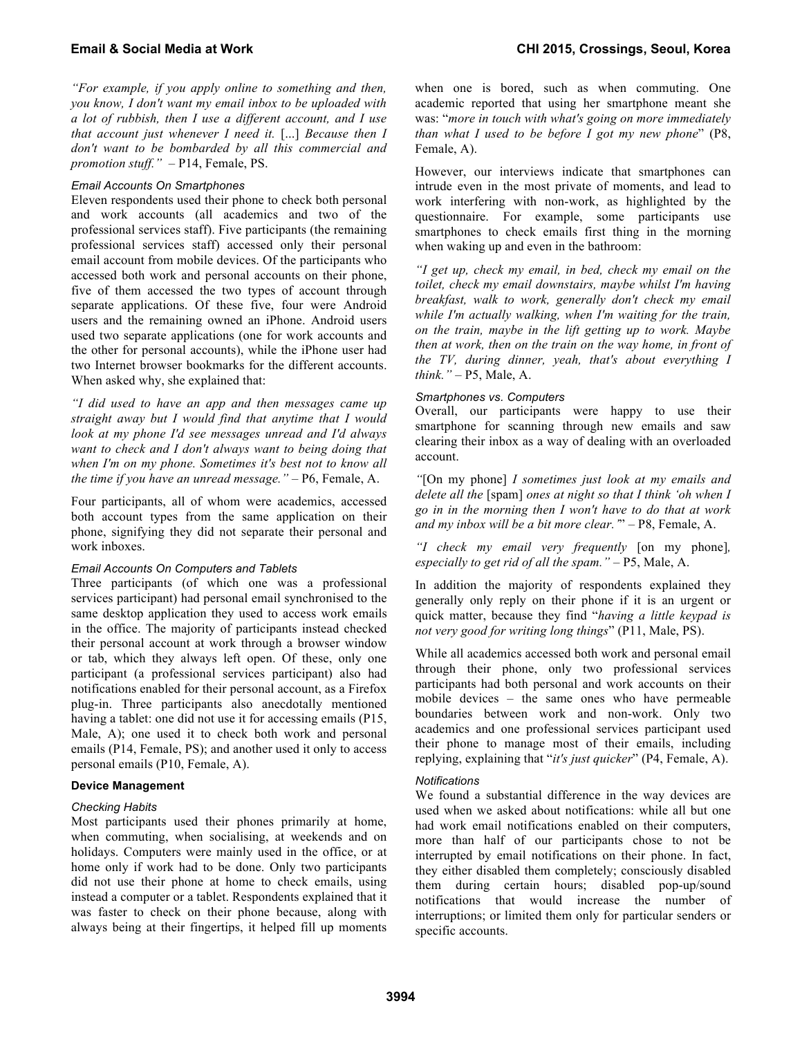*"For example, if you apply online to something and then, you know, I don't want my email inbox to be uploaded with a lot of rubbish, then I use a different account, and I use that account just whenever I need it.* [...] *Because then I don't want to be bombarded by all this commercial and promotion stuff."* – P14, Female, PS.

### *Email Accounts On Smartphones*

Eleven respondents used their phone to check both personal and work accounts (all academics and two of the professional services staff). Five participants (the remaining professional services staff) accessed only their personal email account from mobile devices. Of the participants who accessed both work and personal accounts on their phone, five of them accessed the two types of account through separate applications. Of these five, four were Android users and the remaining owned an iPhone. Android users used two separate applications (one for work accounts and the other for personal accounts), while the iPhone user had two Internet browser bookmarks for the different accounts. When asked why, she explained that:

*"I did used to have an app and then messages came up straight away but I would find that anytime that I would look at my phone I'd see messages unread and I'd always want to check and I don't always want to being doing that when I'm on my phone. Sometimes it's best not to know all the time if you have an unread message."* – P6, Female, A.

Four participants, all of whom were academics, accessed both account types from the same application on their phone, signifying they did not separate their personal and work inboxes.

# *Email Accounts On Computers and Tablets*

Three participants (of which one was a professional services participant) had personal email synchronised to the same desktop application they used to access work emails in the office. The majority of participants instead checked their personal account at work through a browser window or tab, which they always left open. Of these, only one participant (a professional services participant) also had notifications enabled for their personal account, as a Firefox plug-in. Three participants also anecdotally mentioned having a tablet: one did not use it for accessing emails (P15, Male, A); one used it to check both work and personal emails (P14, Female, PS); and another used it only to access personal emails (P10, Female, A).

### **Device Management**

### *Checking Habits*

Most participants used their phones primarily at home, when commuting, when socialising, at weekends and on holidays. Computers were mainly used in the office, or at home only if work had to be done. Only two participants did not use their phone at home to check emails, using instead a computer or a tablet. Respondents explained that it was faster to check on their phone because, along with always being at their fingertips, it helped fill up moments

when one is bored, such as when commuting. One academic reported that using her smartphone meant she was: "*more in touch with what's going on more immediately than what I used to be before I got my new phone*" (P8, Female, A).

However, our interviews indicate that smartphones can intrude even in the most private of moments, and lead to work interfering with non-work, as highlighted by the questionnaire. For example, some participants use smartphones to check emails first thing in the morning when waking up and even in the bathroom:

*"I get up, check my email, in bed, check my email on the toilet, check my email downstairs, maybe whilst I'm having breakfast, walk to work, generally don't check my email while I'm actually walking, when I'm waiting for the train, on the train, maybe in the lift getting up to work. Maybe then at work, then on the train on the way home, in front of the TV, during dinner, yeah, that's about everything I think."* – P5, Male, A.

### *Smartphones vs. Computers*

Overall, our participants were happy to use their smartphone for scanning through new emails and saw clearing their inbox as a way of dealing with an overloaded account.

*"*[On my phone] *I sometimes just look at my emails and delete all the* [spam] *ones at night so that I think 'oh when I go in in the morning then I won't have to do that at work and my inbox will be a bit more clear.'*" – P8, Female, A.

*"I check my email very frequently* [on my phone]*, especially to get rid of all the spam."* – P5, Male, A.

In addition the majority of respondents explained they generally only reply on their phone if it is an urgent or quick matter, because they find "*having a little keypad is not very good for writing long things*" (P11, Male, PS).

While all academics accessed both work and personal email through their phone, only two professional services participants had both personal and work accounts on their mobile devices – the same ones who have permeable boundaries between work and non-work. Only two academics and one professional services participant used their phone to manage most of their emails, including replying, explaining that "*it's just quicker*" (P4, Female, A).

### *Notifications*

We found a substantial difference in the way devices are used when we asked about notifications: while all but one had work email notifications enabled on their computers, more than half of our participants chose to not be interrupted by email notifications on their phone. In fact, they either disabled them completely; consciously disabled them during certain hours; disabled pop-up/sound notifications that would increase the number of interruptions; or limited them only for particular senders or specific accounts.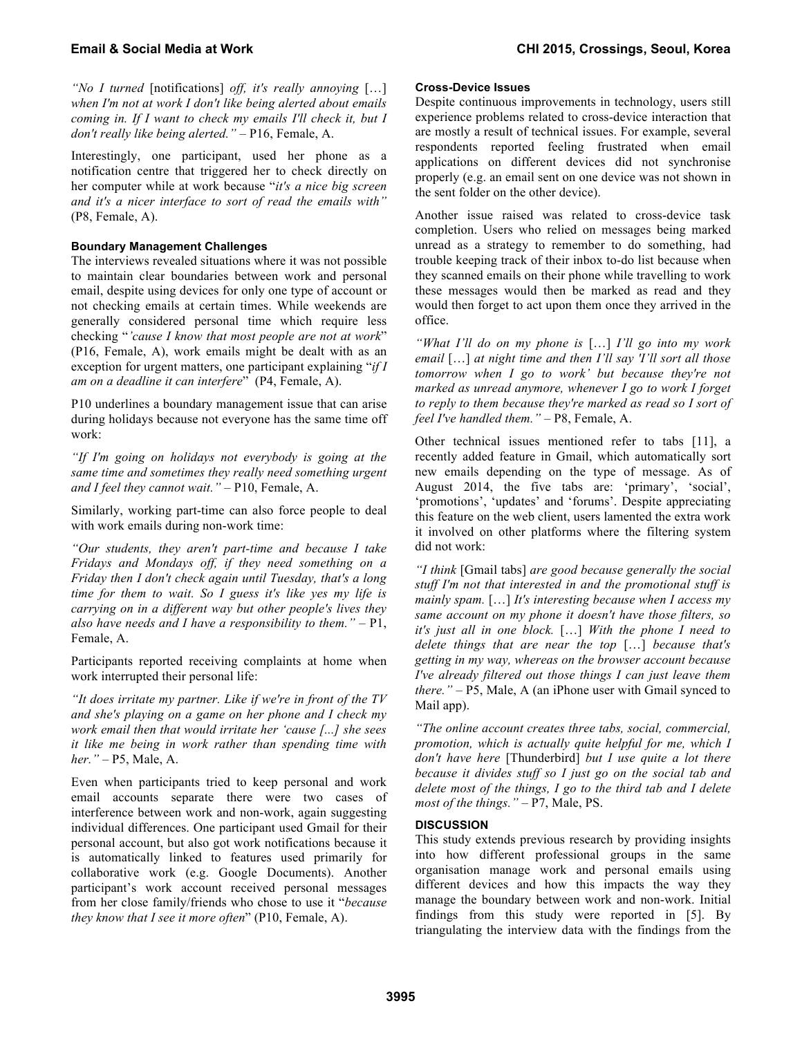*"No I turned* [notifications] *off, it's really annoying* […] *when I'm not at work I don't like being alerted about emails coming in. If I want to check my emails I'll check it, but I don't really like being alerted."* – P16, Female, A.

Interestingly, one participant, used her phone as a notification centre that triggered her to check directly on her computer while at work because "*it's a nice big screen and it's a nicer interface to sort of read the emails with"* (P8, Female, A).

## **Boundary Management Challenges**

The interviews revealed situations where it was not possible to maintain clear boundaries between work and personal email, despite using devices for only one type of account or not checking emails at certain times. While weekends are generally considered personal time which require less checking "*'cause I know that most people are not at work*" (P16, Female, A), work emails might be dealt with as an exception for urgent matters, one participant explaining "*if I am on a deadline it can interfere*" (P4, Female, A).

P10 underlines a boundary management issue that can arise during holidays because not everyone has the same time off work:

*"If I'm going on holidays not everybody is going at the same time and sometimes they really need something urgent and I feel they cannot wait."* – P10, Female, A.

Similarly, working part-time can also force people to deal with work emails during non-work time:

*"Our students, they aren't part-time and because I take Fridays and Mondays off, if they need something on a Friday then I don't check again until Tuesday, that's a long time for them to wait. So I guess it's like yes my life is carrying on in a different way but other people's lives they also have needs and I have a responsibility to them.*  $" - P1$ , Female, A.

Participants reported receiving complaints at home when work interrupted their personal life:

*"It does irritate my partner. Like if we're in front of the TV and she's playing on a game on her phone and I check my work email then that would irritate her 'cause [...] she sees it like me being in work rather than spending time with her."* – P5, Male, A.

Even when participants tried to keep personal and work email accounts separate there were two cases of interference between work and non-work, again suggesting individual differences. One participant used Gmail for their personal account, but also got work notifications because it is automatically linked to features used primarily for collaborative work (e.g. Google Documents). Another participant's work account received personal messages from her close family/friends who chose to use it "*because they know that I see it more often*" (P10, Female, A).

### **Cross-Device Issues**

Despite continuous improvements in technology, users still experience problems related to cross-device interaction that are mostly a result of technical issues. For example, several respondents reported feeling frustrated when email applications on different devices did not synchronise properly (e.g. an email sent on one device was not shown in the sent folder on the other device).

Another issue raised was related to cross-device task completion. Users who relied on messages being marked unread as a strategy to remember to do something, had trouble keeping track of their inbox to-do list because when they scanned emails on their phone while travelling to work these messages would then be marked as read and they would then forget to act upon them once they arrived in the office.

*"What I'll do on my phone is* […] *I'll go into my work email* […] *at night time and then I'll say 'I'll sort all those tomorrow when I go to work' but because they're not marked as unread anymore, whenever I go to work I forget to reply to them because they're marked as read so I sort of feel I've handled them."* – P8, Female, A.

Other technical issues mentioned refer to tabs [11], a recently added feature in Gmail, which automatically sort new emails depending on the type of message. As of August 2014, the five tabs are: 'primary', 'social', 'promotions', 'updates' and 'forums'. Despite appreciating this feature on the web client, users lamented the extra work it involved on other platforms where the filtering system did not work:

*"I think* [Gmail tabs] *are good because generally the social stuff I'm not that interested in and the promotional stuff is mainly spam.* […] *It's interesting because when I access my same account on my phone it doesn't have those filters, so it's just all in one block.* […] *With the phone I need to delete things that are near the top* […] *because that's getting in my way, whereas on the browser account because I've already filtered out those things I can just leave them there."* – P5, Male, A (an iPhone user with Gmail synced to Mail app).

*"The online account creates three tabs, social, commercial, promotion, which is actually quite helpful for me, which I don't have here* [Thunderbird] *but I use quite a lot there because it divides stuff so I just go on the social tab and delete most of the things, I go to the third tab and I delete most of the things."* – P7, Male, PS.

### **DISCUSSION**

This study extends previous research by providing insights into how different professional groups in the same organisation manage work and personal emails using different devices and how this impacts the way they manage the boundary between work and non-work. Initial findings from this study were reported in [5]. By triangulating the interview data with the findings from the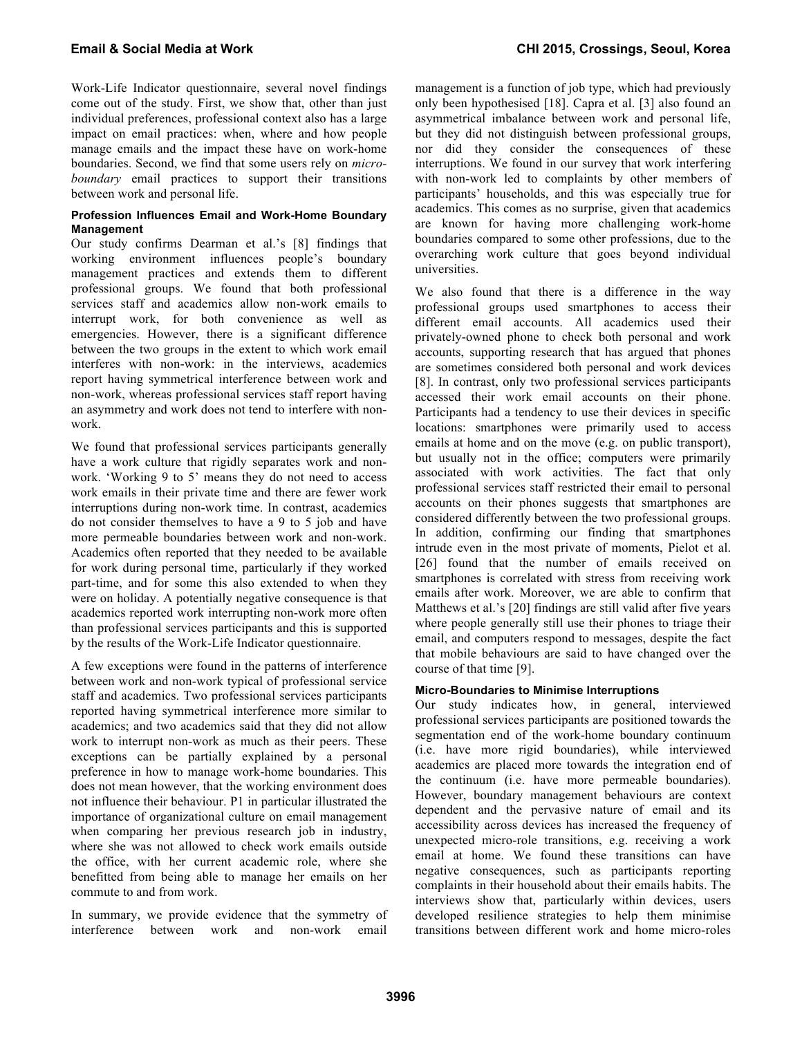Work-Life Indicator questionnaire, several novel findings come out of the study. First, we show that, other than just individual preferences, professional context also has a large impact on email practices: when, where and how people manage emails and the impact these have on work-home boundaries. Second, we find that some users rely on *microboundary* email practices to support their transitions between work and personal life.

### **Profession Influences Email and Work-Home Boundary Management**

Our study confirms Dearman et al.'s [8] findings that working environment influences people's boundary management practices and extends them to different professional groups. We found that both professional services staff and academics allow non-work emails to interrupt work, for both convenience as well as emergencies. However, there is a significant difference between the two groups in the extent to which work email interferes with non-work: in the interviews, academics report having symmetrical interference between work and non-work, whereas professional services staff report having an asymmetry and work does not tend to interfere with nonwork.

We found that professional services participants generally have a work culture that rigidly separates work and nonwork. 'Working 9 to 5' means they do not need to access work emails in their private time and there are fewer work interruptions during non-work time. In contrast, academics do not consider themselves to have a 9 to 5 job and have more permeable boundaries between work and non-work. Academics often reported that they needed to be available for work during personal time, particularly if they worked part-time, and for some this also extended to when they were on holiday. A potentially negative consequence is that academics reported work interrupting non-work more often than professional services participants and this is supported by the results of the Work-Life Indicator questionnaire.

A few exceptions were found in the patterns of interference between work and non-work typical of professional service staff and academics. Two professional services participants reported having symmetrical interference more similar to academics; and two academics said that they did not allow work to interrupt non-work as much as their peers. These exceptions can be partially explained by a personal preference in how to manage work-home boundaries. This does not mean however, that the working environment does not influence their behaviour. P1 in particular illustrated the importance of organizational culture on email management when comparing her previous research job in industry, where she was not allowed to check work emails outside the office, with her current academic role, where she benefitted from being able to manage her emails on her commute to and from work.

In summary, we provide evidence that the symmetry of interference between work and non-work email

management is a function of job type, which had previously only been hypothesised [18]. Capra et al. [3] also found an asymmetrical imbalance between work and personal life, but they did not distinguish between professional groups, nor did they consider the consequences of these interruptions. We found in our survey that work interfering with non-work led to complaints by other members of participants' households, and this was especially true for academics. This comes as no surprise, given that academics are known for having more challenging work-home boundaries compared to some other professions, due to the overarching work culture that goes beyond individual universities.

We also found that there is a difference in the way professional groups used smartphones to access their different email accounts. All academics used their privately-owned phone to check both personal and work accounts, supporting research that has argued that phones are sometimes considered both personal and work devices [8]. In contrast, only two professional services participants accessed their work email accounts on their phone. Participants had a tendency to use their devices in specific locations: smartphones were primarily used to access emails at home and on the move (e.g. on public transport), but usually not in the office; computers were primarily associated with work activities. The fact that only professional services staff restricted their email to personal accounts on their phones suggests that smartphones are considered differently between the two professional groups. In addition, confirming our finding that smartphones intrude even in the most private of moments, Pielot et al. [26] found that the number of emails received on smartphones is correlated with stress from receiving work emails after work. Moreover, we are able to confirm that Matthews et al.'s [20] findings are still valid after five years where people generally still use their phones to triage their email, and computers respond to messages, despite the fact that mobile behaviours are said to have changed over the course of that time [9].

### **Micro-Boundaries to Minimise Interruptions**

Our study indicates how, in general, interviewed professional services participants are positioned towards the segmentation end of the work-home boundary continuum (i.e. have more rigid boundaries), while interviewed academics are placed more towards the integration end of the continuum (i.e. have more permeable boundaries). However, boundary management behaviours are context dependent and the pervasive nature of email and its accessibility across devices has increased the frequency of unexpected micro-role transitions, e.g. receiving a work email at home. We found these transitions can have negative consequences, such as participants reporting complaints in their household about their emails habits. The interviews show that, particularly within devices, users developed resilience strategies to help them minimise transitions between different work and home micro-roles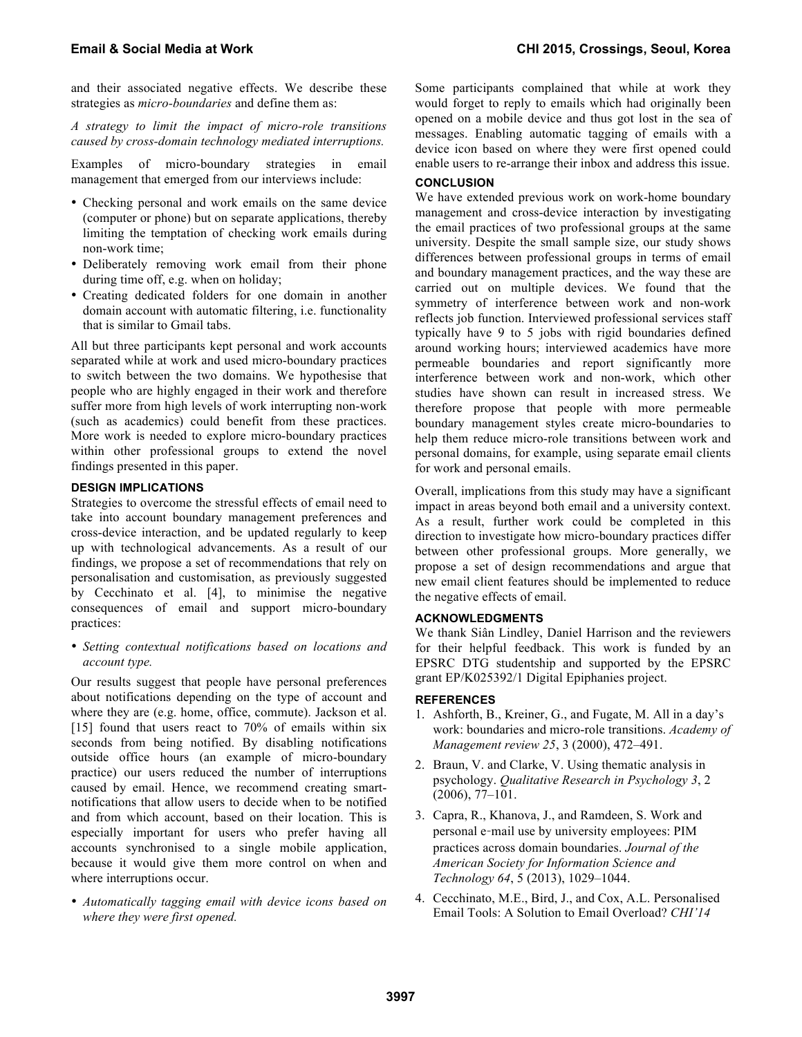and their associated negative effects. We describe these strategies as *micro-boundaries* and define them as:

*A strategy to limit the impact of micro-role transitions caused by cross-domain technology mediated interruptions.* 

Examples of micro-boundary strategies in email management that emerged from our interviews include:

- Checking personal and work emails on the same device (computer or phone) but on separate applications, thereby limiting the temptation of checking work emails during non-work time;
- Deliberately removing work email from their phone during time off, e.g. when on holiday;
- Creating dedicated folders for one domain in another domain account with automatic filtering, i.e. functionality that is similar to Gmail tabs.

All but three participants kept personal and work accounts separated while at work and used micro-boundary practices to switch between the two domains. We hypothesise that people who are highly engaged in their work and therefore suffer more from high levels of work interrupting non-work (such as academics) could benefit from these practices. More work is needed to explore micro-boundary practices within other professional groups to extend the novel findings presented in this paper.

### **DESIGN IMPLICATIONS**

Strategies to overcome the stressful effects of email need to take into account boundary management preferences and cross-device interaction, and be updated regularly to keep up with technological advancements. As a result of our findings, we propose a set of recommendations that rely on personalisation and customisation, as previously suggested by Cecchinato et al. [4], to minimise the negative consequences of email and support micro-boundary practices:

• *Setting contextual notifications based on locations and account type.*

Our results suggest that people have personal preferences about notifications depending on the type of account and where they are (e.g. home, office, commute). Jackson et al. [15] found that users react to 70% of emails within six seconds from being notified. By disabling notifications outside office hours (an example of micro-boundary practice) our users reduced the number of interruptions caused by email. Hence, we recommend creating smartnotifications that allow users to decide when to be notified and from which account, based on their location. This is especially important for users who prefer having all accounts synchronised to a single mobile application, because it would give them more control on when and where interruptions occur.

• *Automatically tagging email with device icons based on where they were first opened.*

Some participants complained that while at work they would forget to reply to emails which had originally been opened on a mobile device and thus got lost in the sea of messages. Enabling automatic tagging of emails with a device icon based on where they were first opened could enable users to re-arrange their inbox and address this issue.

# **CONCLUSION**

We have extended previous work on work-home boundary management and cross-device interaction by investigating the email practices of two professional groups at the same university. Despite the small sample size, our study shows differences between professional groups in terms of email and boundary management practices, and the way these are carried out on multiple devices. We found that the symmetry of interference between work and non-work reflects job function. Interviewed professional services staff typically have 9 to 5 jobs with rigid boundaries defined around working hours; interviewed academics have more permeable boundaries and report significantly more interference between work and non-work, which other studies have shown can result in increased stress. We therefore propose that people with more permeable boundary management styles create micro-boundaries to help them reduce micro-role transitions between work and personal domains, for example, using separate email clients for work and personal emails.

Overall, implications from this study may have a significant impact in areas beyond both email and a university context. As a result, further work could be completed in this direction to investigate how micro-boundary practices differ between other professional groups. More generally, we propose a set of design recommendations and argue that new email client features should be implemented to reduce the negative effects of email.

### **ACKNOWLEDGMENTS**

We thank Siân Lindley, Daniel Harrison and the reviewers for their helpful feedback. This work is funded by an EPSRC DTG studentship and supported by the EPSRC grant EP/K025392/1 Digital Epiphanies project.

# **REFERENCES**

- 1. Ashforth, B., Kreiner, G., and Fugate, M. All in a day's work: boundaries and micro-role transitions. *Academy of Management review 25*, 3 (2000), 472–491.
- 2. Braun, V. and Clarke, V. Using thematic analysis in psychology. *Qualitative Research in Psychology 3*, 2 (2006), 77–101.
- 3. Capra, R., Khanova, J., and Ramdeen, S. Work and personal e-mail use by university employees: PIM practices across domain boundaries. *Journal of the American Society for Information Science and Technology 64*, 5 (2013), 1029–1044.
- 4. Cecchinato, M.E., Bird, J., and Cox, A.L. Personalised Email Tools: A Solution to Email Overload? *CHI'14*